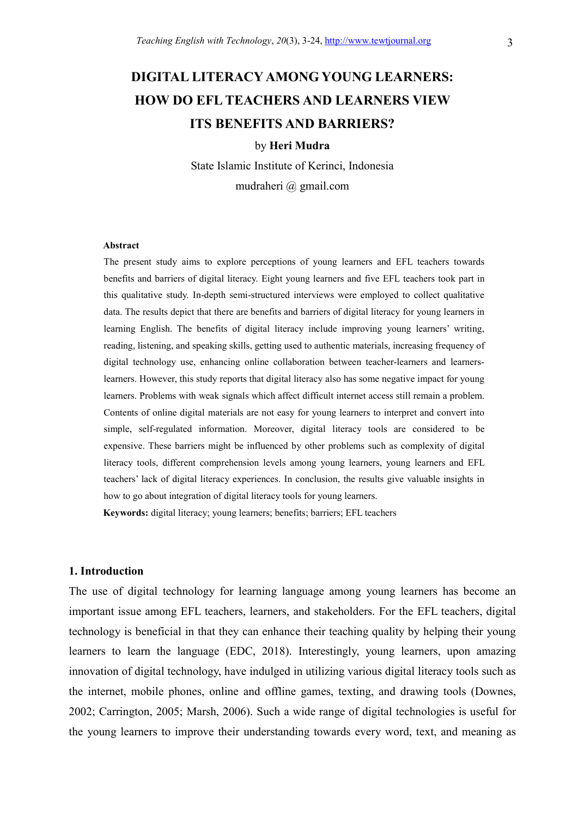# DIGITAL LITERACY AMONG YOUNG LEARNERS: HOW DO EFL TEACHERS AND LEARNERS VIEW ITS BENEFITS AND BARRIERS?

#### by Heri Mudra

State Islamic Institute of Kerinci, Indonesia mudraheri @ gmail.com

#### Abstract

The present study aims to explore perceptions of young learners and EFL teachers towards benefits and barriers of digital literacy. Eight young learners and five EFL teachers took part in this qualitative study. In-depth semi-structured interviews were employed to collect qualitative data. The results depict that there are benefits and barriers of digital literacy for young learners in learning English. The benefits of digital literacy include improving young learners' writing, reading, listening, and speaking skills, getting used to authentic materials, increasing frequency of digital technology use, enhancing online collaboration between teacher-learners and learnerslearners. However, this study reports that digital literacy also has some negative impact for young learners. Problems with weak signals which affect difficult internet access still remain a problem. Contents of online digital materials are not easy for young learners to interpret and convert into simple, self-regulated information. Moreover, digital literacy tools are considered to be expensive. These barriers might be influenced by other problems such as complexity of digital literacy tools, different comprehension levels among young learners, young learners and EFL teachers' lack of digital literacy experiences. In conclusion, the results give valuable insights in how to go about integration of digital literacy tools for young learners.

Keywords: digital literacy; young learners; benefits; barriers; EFL teachers

#### 1. Introduction

The use of digital technology for learning language among young learners has become an important issue among EFL teachers, learners, and stakeholders. For the EFL teachers, digital technology is beneficial in that they can enhance their teaching quality by helping their young learners to learn the language (EDC, 2018). Interestingly, young learners, upon amazing innovation of digital technology, have indulged in utilizing various digital literacy tools such as the internet, mobile phones, online and offline games, texting, and drawing tools (Downes, 2002; Carrington, 2005; Marsh, 2006). Such a wide range of digital technologies is useful for the young learners to improve their understanding towards every word, text, and meaning as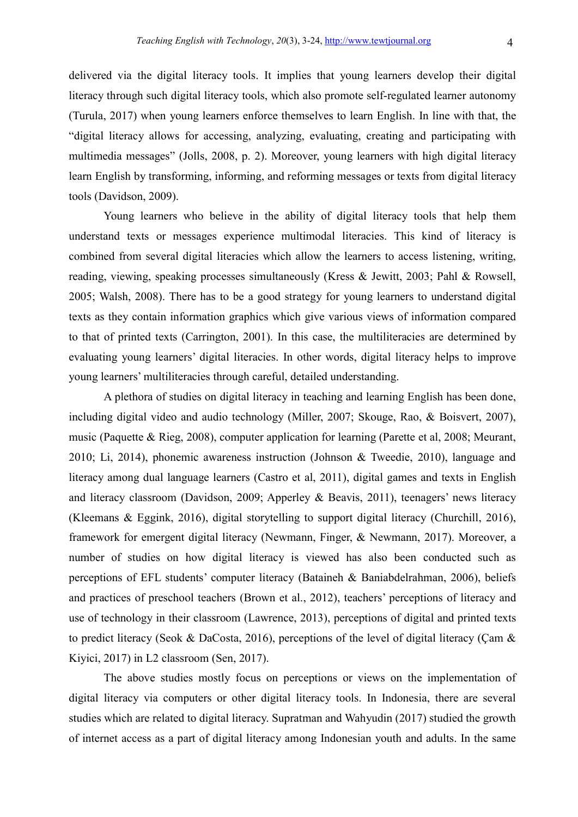delivered via the digital literacy tools. It implies that young learners develop their digital literacy through such digital literacy tools, which also promote self-regulated learner autonomy (Turula, 2017) when young learners enforce themselves to learn English. In line with that, the "digital literacy allows for accessing, analyzing, evaluating, creating and participating with multimedia messages" (Jolls, 2008, p. 2). Moreover, young learners with high digital literacy learn English by transforming, informing, and reforming messages or texts from digital literacy tools (Davidson, 2009).

 Young learners who believe in the ability of digital literacy tools that help them understand texts or messages experience multimodal literacies. This kind of literacy is combined from several digital literacies which allow the learners to access listening, writing, reading, viewing, speaking processes simultaneously (Kress & Jewitt, 2003; Pahl & Rowsell, 2005; Walsh, 2008). There has to be a good strategy for young learners to understand digital texts as they contain information graphics which give various views of information compared to that of printed texts (Carrington, 2001). In this case, the multiliteracies are determined by evaluating young learners' digital literacies. In other words, digital literacy helps to improve young learners' multiliteracies through careful, detailed understanding.

 A plethora of studies on digital literacy in teaching and learning English has been done, including digital video and audio technology (Miller, 2007; Skouge, Rao, & Boisvert, 2007), music (Paquette & Rieg, 2008), computer application for learning (Parette et al, 2008; Meurant, 2010; Li, 2014), phonemic awareness instruction (Johnson & Tweedie, 2010), language and literacy among dual language learners (Castro et al, 2011), digital games and texts in English and literacy classroom (Davidson, 2009; Apperley & Beavis, 2011), teenagers' news literacy (Kleemans & Eggink, 2016), digital storytelling to support digital literacy (Churchill, 2016), framework for emergent digital literacy (Newmann, Finger, & Newmann, 2017). Moreover, a number of studies on how digital literacy is viewed has also been conducted such as perceptions of EFL students' computer literacy (Bataineh & Baniabdelrahman, 2006), beliefs and practices of preschool teachers (Brown et al., 2012), teachers' perceptions of literacy and use of technology in their classroom (Lawrence, 2013), perceptions of digital and printed texts to predict literacy (Seok & DaCosta, 2016), perceptions of the level of digital literacy (Çam & Kiyici, 2017) in L2 classroom (Sen, 2017).

 The above studies mostly focus on perceptions or views on the implementation of digital literacy via computers or other digital literacy tools. In Indonesia, there are several studies which are related to digital literacy. Supratman and Wahyudin (2017) studied the growth of internet access as a part of digital literacy among Indonesian youth and adults. In the same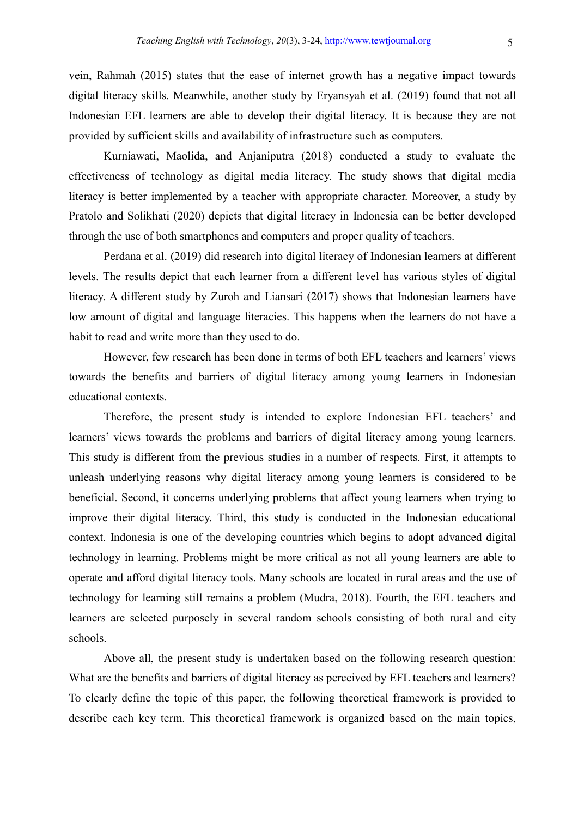vein, Rahmah (2015) states that the ease of internet growth has a negative impact towards digital literacy skills. Meanwhile, another study by Eryansyah et al. (2019) found that not all Indonesian EFL learners are able to develop their digital literacy. It is because they are not provided by sufficient skills and availability of infrastructure such as computers.

 Kurniawati, Maolida, and Anjaniputra (2018) conducted a study to evaluate the effectiveness of technology as digital media literacy. The study shows that digital media literacy is better implemented by a teacher with appropriate character. Moreover, a study by Pratolo and Solikhati (2020) depicts that digital literacy in Indonesia can be better developed through the use of both smartphones and computers and proper quality of teachers.

 Perdana et al. (2019) did research into digital literacy of Indonesian learners at different levels. The results depict that each learner from a different level has various styles of digital literacy. A different study by Zuroh and Liansari (2017) shows that Indonesian learners have low amount of digital and language literacies. This happens when the learners do not have a habit to read and write more than they used to do.

 However, few research has been done in terms of both EFL teachers and learners' views towards the benefits and barriers of digital literacy among young learners in Indonesian educational contexts.

 Therefore, the present study is intended to explore Indonesian EFL teachers' and learners' views towards the problems and barriers of digital literacy among young learners. This study is different from the previous studies in a number of respects. First, it attempts to unleash underlying reasons why digital literacy among young learners is considered to be beneficial. Second, it concerns underlying problems that affect young learners when trying to improve their digital literacy. Third, this study is conducted in the Indonesian educational context. Indonesia is one of the developing countries which begins to adopt advanced digital technology in learning. Problems might be more critical as not all young learners are able to operate and afford digital literacy tools. Many schools are located in rural areas and the use of technology for learning still remains a problem (Mudra, 2018). Fourth, the EFL teachers and learners are selected purposely in several random schools consisting of both rural and city schools.

 Above all, the present study is undertaken based on the following research question: What are the benefits and barriers of digital literacy as perceived by EFL teachers and learners? To clearly define the topic of this paper, the following theoretical framework is provided to describe each key term. This theoretical framework is organized based on the main topics,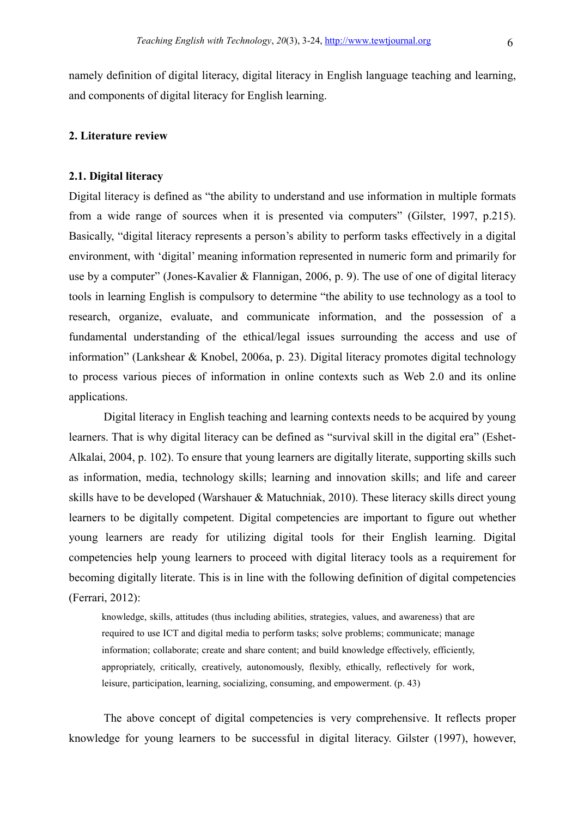namely definition of digital literacy, digital literacy in English language teaching and learning, and components of digital literacy for English learning.

# 2. Literature review

# 2.1. Digital literacy

Digital literacy is defined as "the ability to understand and use information in multiple formats from a wide range of sources when it is presented via computers" (Gilster, 1997, p.215). Basically, "digital literacy represents a person's ability to perform tasks effectively in a digital environment, with 'digital' meaning information represented in numeric form and primarily for use by a computer" (Jones-Kavalier & Flannigan, 2006, p. 9). The use of one of digital literacy tools in learning English is compulsory to determine "the ability to use technology as a tool to research, organize, evaluate, and communicate information, and the possession of a fundamental understanding of the ethical/legal issues surrounding the access and use of information" (Lankshear & Knobel, 2006a, p. 23). Digital literacy promotes digital technology to process various pieces of information in online contexts such as Web 2.0 and its online applications.

 Digital literacy in English teaching and learning contexts needs to be acquired by young learners. That is why digital literacy can be defined as "survival skill in the digital era" (Eshet-Alkalai, 2004, p. 102). To ensure that young learners are digitally literate, supporting skills such as information, media, technology skills; learning and innovation skills; and life and career skills have to be developed (Warshauer & Matuchniak, 2010). These literacy skills direct young learners to be digitally competent. Digital competencies are important to figure out whether young learners are ready for utilizing digital tools for their English learning. Digital competencies help young learners to proceed with digital literacy tools as a requirement for becoming digitally literate. This is in line with the following definition of digital competencies (Ferrari, 2012):

knowledge, skills, attitudes (thus including abilities, strategies, values, and awareness) that are required to use ICT and digital media to perform tasks; solve problems; communicate; manage information; collaborate; create and share content; and build knowledge effectively, efficiently, appropriately, critically, creatively, autonomously, flexibly, ethically, reflectively for work, leisure, participation, learning, socializing, consuming, and empowerment. (p. 43)

 The above concept of digital competencies is very comprehensive. It reflects proper knowledge for young learners to be successful in digital literacy. Gilster (1997), however,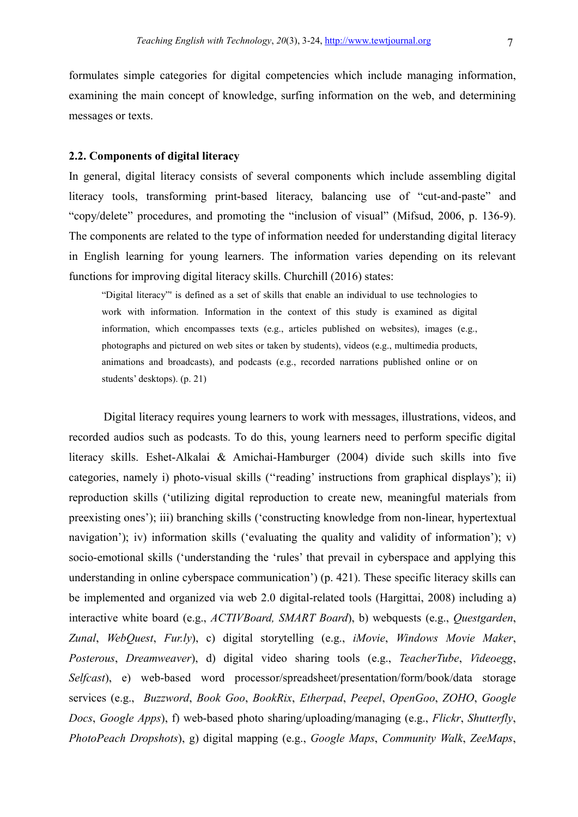formulates simple categories for digital competencies which include managing information, examining the main concept of knowledge, surfing information on the web, and determining messages or texts.

### 2.2. Components of digital literacy

In general, digital literacy consists of several components which include assembling digital literacy tools, transforming print-based literacy, balancing use of "cut-and-paste" and "copy/delete" procedures, and promoting the "inclusion of visual" (Mifsud, 2006, p. 136-9). The components are related to the type of information needed for understanding digital literacy in English learning for young learners. The information varies depending on its relevant functions for improving digital literacy skills. Churchill (2016) states:

"Digital literacy"' is defined as a set of skills that enable an individual to use technologies to work with information. Information in the context of this study is examined as digital information, which encompasses texts (e.g., articles published on websites), images (e.g., photographs and pictured on web sites or taken by students), videos (e.g., multimedia products, animations and broadcasts), and podcasts (e.g., recorded narrations published online or on students' desktops). (p. 21)

 Digital literacy requires young learners to work with messages, illustrations, videos, and recorded audios such as podcasts. To do this, young learners need to perform specific digital literacy skills. Eshet-Alkalai & Amichai-Hamburger (2004) divide such skills into five categories, namely i) photo-visual skills (''reading' instructions from graphical displays'); ii) reproduction skills ('utilizing digital reproduction to create new, meaningful materials from preexisting ones'); iii) branching skills ('constructing knowledge from non-linear, hypertextual navigation'); iv) information skills ('evaluating the quality and validity of information'); v) socio-emotional skills ('understanding the 'rules' that prevail in cyberspace and applying this understanding in online cyberspace communication') (p. 421). These specific literacy skills can be implemented and organized via web 2.0 digital-related tools (Hargittai, 2008) including a) interactive white board (e.g., ACTIVBoard, SMART Board), b) webquests (e.g., Questgarden, Zunal, WebQuest, Fur.ly), c) digital storytelling (e.g., iMovie, Windows Movie Maker, Posterous, Dreamweaver), d) digital video sharing tools (e.g., TeacherTube, Videoegg, Selfcast), e) web-based word processor/spreadsheet/presentation/form/book/data storage services (e.g., Buzzword, Book Goo, BookRix, Etherpad, Peepel, OpenGoo, ZOHO, Google Docs, Google Apps), f) web-based photo sharing/uploading/managing (e.g., Flickr, Shutterfly, PhotoPeach Dropshots), g) digital mapping (e.g., Google Maps, Community Walk, ZeeMaps,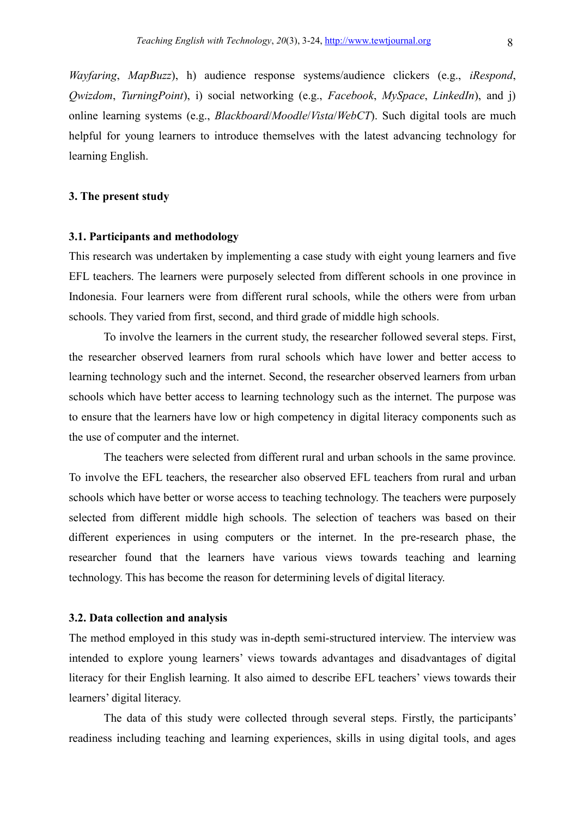Wayfaring, MapBuzz), h) audience response systems/audience clickers (e.g., iRespond,  $Owizdom, TuringPoint), i) social networking (e.g., Facebook, MySpace, LinkedIn), and i)$ online learning systems (e.g., Blackboard/Moodle/Vista/WebCT). Such digital tools are much helpful for young learners to introduce themselves with the latest advancing technology for learning English.

# 3. The present study

#### 3.1. Participants and methodology

This research was undertaken by implementing a case study with eight young learners and five EFL teachers. The learners were purposely selected from different schools in one province in Indonesia. Four learners were from different rural schools, while the others were from urban schools. They varied from first, second, and third grade of middle high schools.

To involve the learners in the current study, the researcher followed several steps. First, the researcher observed learners from rural schools which have lower and better access to learning technology such and the internet. Second, the researcher observed learners from urban schools which have better access to learning technology such as the internet. The purpose was to ensure that the learners have low or high competency in digital literacy components such as the use of computer and the internet.

The teachers were selected from different rural and urban schools in the same province. To involve the EFL teachers, the researcher also observed EFL teachers from rural and urban schools which have better or worse access to teaching technology. The teachers were purposely selected from different middle high schools. The selection of teachers was based on their different experiences in using computers or the internet. In the pre-research phase, the researcher found that the learners have various views towards teaching and learning technology. This has become the reason for determining levels of digital literacy.

#### 3.2. Data collection and analysis

The method employed in this study was in-depth semi-structured interview. The interview was intended to explore young learners' views towards advantages and disadvantages of digital literacy for their English learning. It also aimed to describe EFL teachers' views towards their learners' digital literacy.

The data of this study were collected through several steps. Firstly, the participants' readiness including teaching and learning experiences, skills in using digital tools, and ages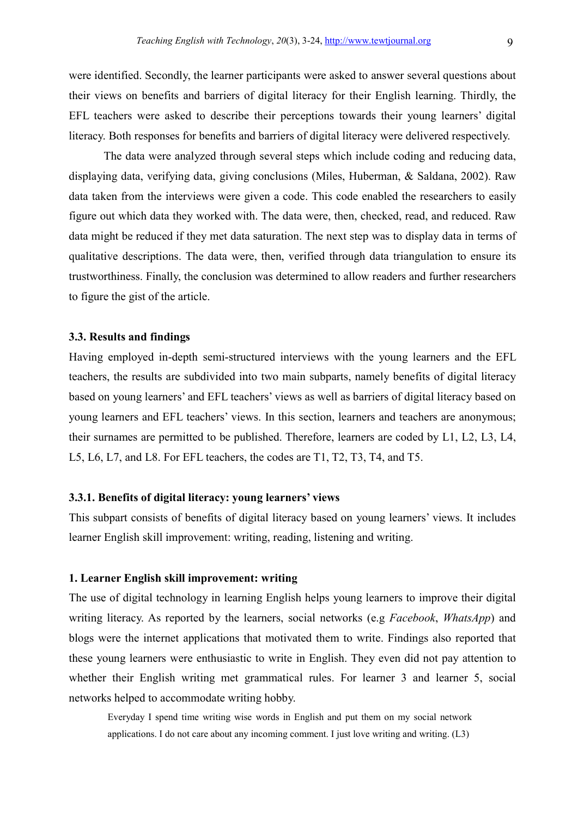were identified. Secondly, the learner participants were asked to answer several questions about their views on benefits and barriers of digital literacy for their English learning. Thirdly, the EFL teachers were asked to describe their perceptions towards their young learners' digital literacy. Both responses for benefits and barriers of digital literacy were delivered respectively.

The data were analyzed through several steps which include coding and reducing data, displaying data, verifying data, giving conclusions (Miles, Huberman, & Saldana, 2002). Raw data taken from the interviews were given a code. This code enabled the researchers to easily figure out which data they worked with. The data were, then, checked, read, and reduced. Raw data might be reduced if they met data saturation. The next step was to display data in terms of qualitative descriptions. The data were, then, verified through data triangulation to ensure its trustworthiness. Finally, the conclusion was determined to allow readers and further researchers to figure the gist of the article.

#### 3.3. Results and findings

Having employed in-depth semi-structured interviews with the young learners and the EFL teachers, the results are subdivided into two main subparts, namely benefits of digital literacy based on young learners' and EFL teachers' views as well as barriers of digital literacy based on young learners and EFL teachers' views. In this section, learners and teachers are anonymous; their surnames are permitted to be published. Therefore, learners are coded by L1, L2, L3, L4, L5, L6, L7, and L8. For EFL teachers, the codes are T1, T2, T3, T4, and T5.

#### 3.3.1. Benefits of digital literacy: young learners' views

This subpart consists of benefits of digital literacy based on young learners' views. It includes learner English skill improvement: writing, reading, listening and writing.

# 1. Learner English skill improvement: writing

The use of digital technology in learning English helps young learners to improve their digital writing literacy. As reported by the learners, social networks (e.g Facebook, WhatsApp) and blogs were the internet applications that motivated them to write. Findings also reported that these young learners were enthusiastic to write in English. They even did not pay attention to whether their English writing met grammatical rules. For learner 3 and learner 5, social networks helped to accommodate writing hobby.

Everyday I spend time writing wise words in English and put them on my social network applications. I do not care about any incoming comment. I just love writing and writing. (L3)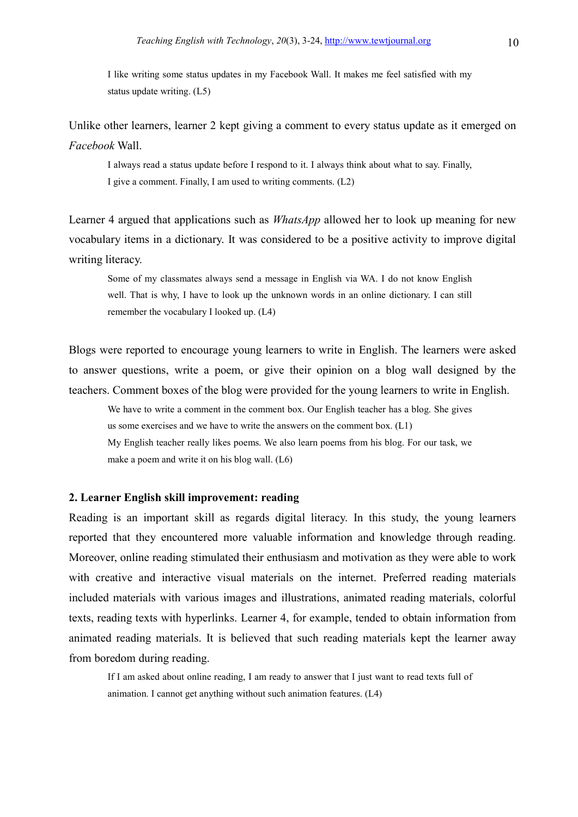I like writing some status updates in my Facebook Wall. It makes me feel satisfied with my status update writing. (L5)

Unlike other learners, learner 2 kept giving a comment to every status update as it emerged on Facebook Wall.

I always read a status update before I respond to it. I always think about what to say. Finally, I give a comment. Finally, I am used to writing comments. (L2)

Learner 4 argued that applications such as *WhatsApp* allowed her to look up meaning for new vocabulary items in a dictionary. It was considered to be a positive activity to improve digital writing literacy.

Some of my classmates always send a message in English via WA. I do not know English well. That is why, I have to look up the unknown words in an online dictionary. I can still remember the vocabulary I looked up. (L4)

Blogs were reported to encourage young learners to write in English. The learners were asked to answer questions, write a poem, or give their opinion on a blog wall designed by the teachers. Comment boxes of the blog were provided for the young learners to write in English.

We have to write a comment in the comment box. Our English teacher has a blog. She gives us some exercises and we have to write the answers on the comment box. (L1) My English teacher really likes poems. We also learn poems from his blog. For our task, we make a poem and write it on his blog wall. (L6)

# 2. Learner English skill improvement: reading

Reading is an important skill as regards digital literacy. In this study, the young learners reported that they encountered more valuable information and knowledge through reading. Moreover, online reading stimulated their enthusiasm and motivation as they were able to work with creative and interactive visual materials on the internet. Preferred reading materials included materials with various images and illustrations, animated reading materials, colorful texts, reading texts with hyperlinks. Learner 4, for example, tended to obtain information from animated reading materials. It is believed that such reading materials kept the learner away from boredom during reading.

If I am asked about online reading, I am ready to answer that I just want to read texts full of animation. I cannot get anything without such animation features. (L4)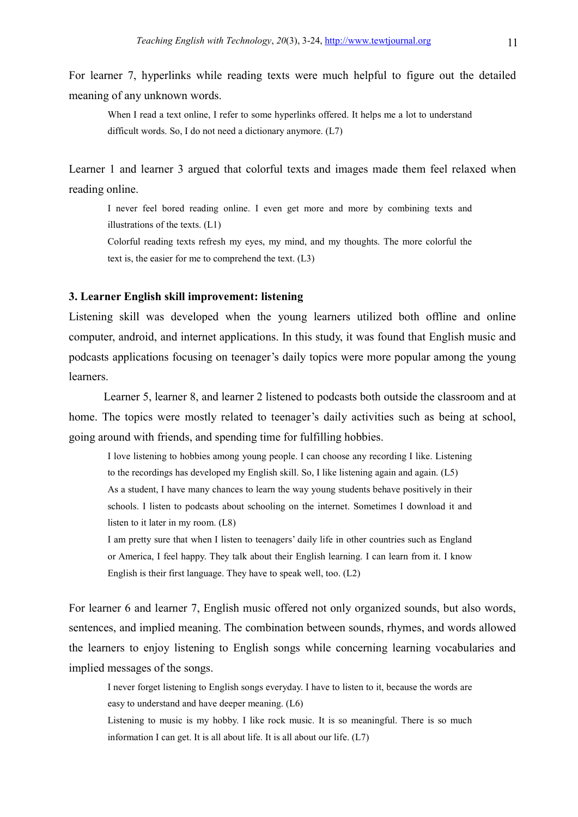For learner 7, hyperlinks while reading texts were much helpful to figure out the detailed meaning of any unknown words.

When I read a text online, I refer to some hyperlinks offered. It helps me a lot to understand difficult words. So, I do not need a dictionary anymore. (L7)

Learner 1 and learner 3 argued that colorful texts and images made them feel relaxed when reading online.

I never feel bored reading online. I even get more and more by combining texts and illustrations of the texts. (L1)

Colorful reading texts refresh my eyes, my mind, and my thoughts. The more colorful the text is, the easier for me to comprehend the text. (L3)

# 3. Learner English skill improvement: listening

Listening skill was developed when the young learners utilized both offline and online computer, android, and internet applications. In this study, it was found that English music and podcasts applications focusing on teenager's daily topics were more popular among the young learners.

 Learner 5, learner 8, and learner 2 listened to podcasts both outside the classroom and at home. The topics were mostly related to teenager's daily activities such as being at school, going around with friends, and spending time for fulfilling hobbies.

I love listening to hobbies among young people. I can choose any recording I like. Listening to the recordings has developed my English skill. So, I like listening again and again. (L5) As a student, I have many chances to learn the way young students behave positively in their schools. I listen to podcasts about schooling on the internet. Sometimes I download it and listen to it later in my room. (L8)

I am pretty sure that when I listen to teenagers' daily life in other countries such as England or America, I feel happy. They talk about their English learning. I can learn from it. I know English is their first language. They have to speak well, too. (L2)

For learner 6 and learner 7, English music offered not only organized sounds, but also words, sentences, and implied meaning. The combination between sounds, rhymes, and words allowed the learners to enjoy listening to English songs while concerning learning vocabularies and implied messages of the songs.

I never forget listening to English songs everyday. I have to listen to it, because the words are easy to understand and have deeper meaning. (L6)

Listening to music is my hobby. I like rock music. It is so meaningful. There is so much information I can get. It is all about life. It is all about our life. (L7)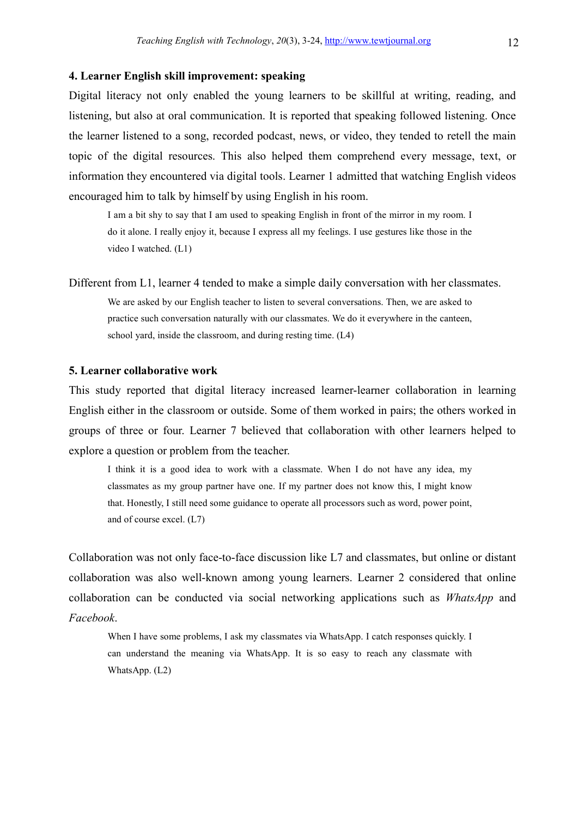# 4. Learner English skill improvement: speaking

Digital literacy not only enabled the young learners to be skillful at writing, reading, and listening, but also at oral communication. It is reported that speaking followed listening. Once the learner listened to a song, recorded podcast, news, or video, they tended to retell the main topic of the digital resources. This also helped them comprehend every message, text, or information they encountered via digital tools. Learner 1 admitted that watching English videos encouraged him to talk by himself by using English in his room.

I am a bit shy to say that I am used to speaking English in front of the mirror in my room. I do it alone. I really enjoy it, because I express all my feelings. I use gestures like those in the video I watched. (L1)

Different from L1, learner 4 tended to make a simple daily conversation with her classmates.

We are asked by our English teacher to listen to several conversations. Then, we are asked to practice such conversation naturally with our classmates. We do it everywhere in the canteen, school yard, inside the classroom, and during resting time. (L4)

#### 5. Learner collaborative work

This study reported that digital literacy increased learner-learner collaboration in learning English either in the classroom or outside. Some of them worked in pairs; the others worked in groups of three or four. Learner 7 believed that collaboration with other learners helped to explore a question or problem from the teacher.

I think it is a good idea to work with a classmate. When I do not have any idea, my classmates as my group partner have one. If my partner does not know this, I might know that. Honestly, I still need some guidance to operate all processors such as word, power point, and of course excel. (L7)

Collaboration was not only face-to-face discussion like L7 and classmates, but online or distant collaboration was also well-known among young learners. Learner 2 considered that online collaboration can be conducted via social networking applications such as WhatsApp and Facebook.

When I have some problems, I ask my classmates via WhatsApp. I catch responses quickly. I can understand the meaning via WhatsApp. It is so easy to reach any classmate with WhatsApp. (L2)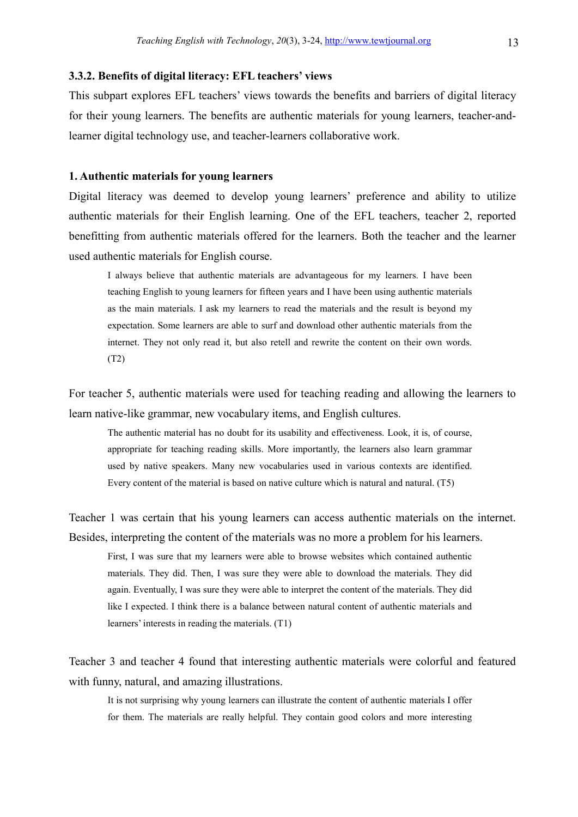# 3.3.2. Benefits of digital literacy: EFL teachers' views

This subpart explores EFL teachers' views towards the benefits and barriers of digital literacy for their young learners. The benefits are authentic materials for young learners, teacher-andlearner digital technology use, and teacher-learners collaborative work.

# 1. Authentic materials for young learners

Digital literacy was deemed to develop young learners' preference and ability to utilize authentic materials for their English learning. One of the EFL teachers, teacher 2, reported benefitting from authentic materials offered for the learners. Both the teacher and the learner used authentic materials for English course.

I always believe that authentic materials are advantageous for my learners. I have been teaching English to young learners for fifteen years and I have been using authentic materials as the main materials. I ask my learners to read the materials and the result is beyond my expectation. Some learners are able to surf and download other authentic materials from the internet. They not only read it, but also retell and rewrite the content on their own words. (T2)

For teacher 5, authentic materials were used for teaching reading and allowing the learners to learn native-like grammar, new vocabulary items, and English cultures.

The authentic material has no doubt for its usability and effectiveness. Look, it is, of course, appropriate for teaching reading skills. More importantly, the learners also learn grammar used by native speakers. Many new vocabularies used in various contexts are identified. Every content of the material is based on native culture which is natural and natural. (T5)

Teacher 1 was certain that his young learners can access authentic materials on the internet. Besides, interpreting the content of the materials was no more a problem for his learners.

First, I was sure that my learners were able to browse websites which contained authentic materials. They did. Then, I was sure they were able to download the materials. They did again. Eventually, I was sure they were able to interpret the content of the materials. They did like I expected. I think there is a balance between natural content of authentic materials and learners' interests in reading the materials. (T1)

Teacher 3 and teacher 4 found that interesting authentic materials were colorful and featured with funny, natural, and amazing illustrations.

It is not surprising why young learners can illustrate the content of authentic materials I offer for them. The materials are really helpful. They contain good colors and more interesting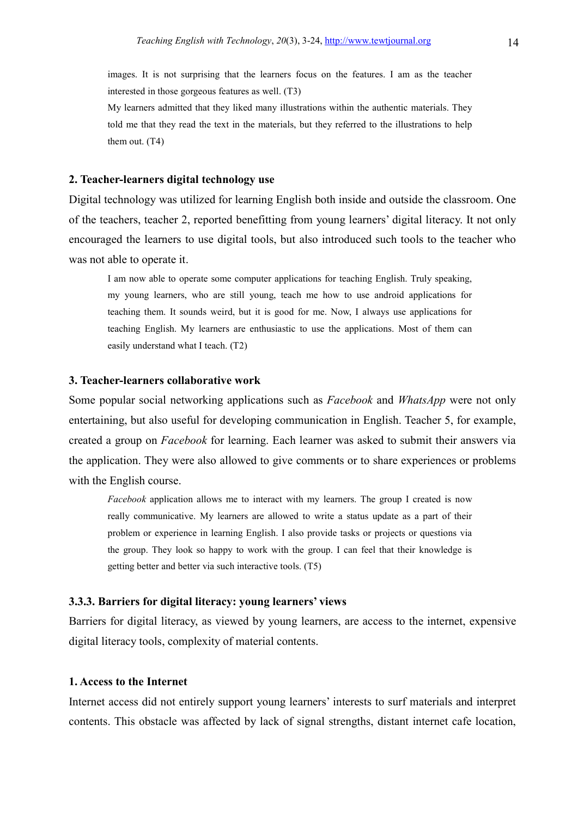images. It is not surprising that the learners focus on the features. I am as the teacher interested in those gorgeous features as well. (T3)

My learners admitted that they liked many illustrations within the authentic materials. They told me that they read the text in the materials, but they referred to the illustrations to help them out. (T4)

# 2. Teacher-learners digital technology use

Digital technology was utilized for learning English both inside and outside the classroom. One of the teachers, teacher 2, reported benefitting from young learners' digital literacy. It not only encouraged the learners to use digital tools, but also introduced such tools to the teacher who was not able to operate it.

I am now able to operate some computer applications for teaching English. Truly speaking, my young learners, who are still young, teach me how to use android applications for teaching them. It sounds weird, but it is good for me. Now, I always use applications for teaching English. My learners are enthusiastic to use the applications. Most of them can easily understand what I teach. (T2)

# 3. Teacher-learners collaborative work

Some popular social networking applications such as *Facebook* and *WhatsApp* were not only entertaining, but also useful for developing communication in English. Teacher 5, for example, created a group on Facebook for learning. Each learner was asked to submit their answers via the application. They were also allowed to give comments or to share experiences or problems with the English course.

Facebook application allows me to interact with my learners. The group I created is now really communicative. My learners are allowed to write a status update as a part of their problem or experience in learning English. I also provide tasks or projects or questions via the group. They look so happy to work with the group. I can feel that their knowledge is getting better and better via such interactive tools. (T5)

# 3.3.3. Barriers for digital literacy: young learners' views

Barriers for digital literacy, as viewed by young learners, are access to the internet, expensive digital literacy tools, complexity of material contents.

#### 1. Access to the Internet

Internet access did not entirely support young learners' interests to surf materials and interpret contents. This obstacle was affected by lack of signal strengths, distant internet cafe location,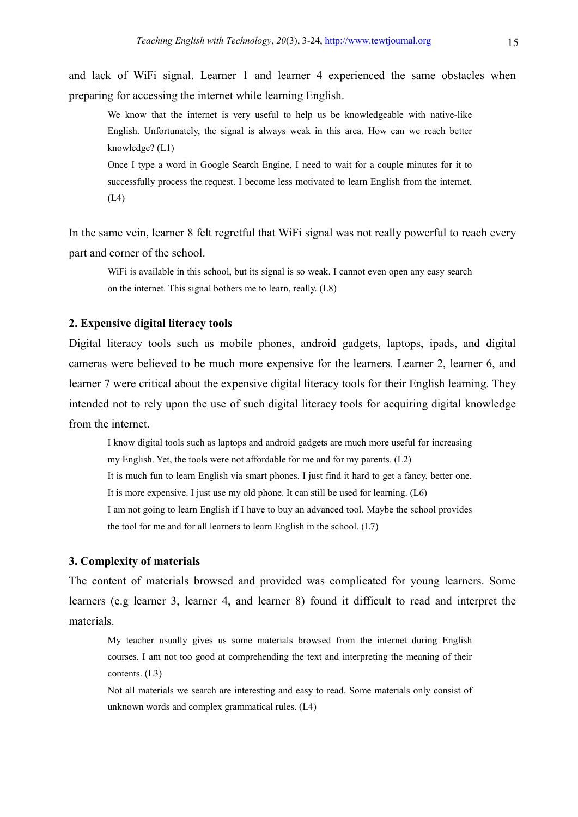and lack of WiFi signal. Learner 1 and learner 4 experienced the same obstacles when preparing for accessing the internet while learning English.

We know that the internet is very useful to help us be knowledgeable with native-like English. Unfortunately, the signal is always weak in this area. How can we reach better knowledge? (L1)

Once I type a word in Google Search Engine, I need to wait for a couple minutes for it to successfully process the request. I become less motivated to learn English from the internet. (L4)

In the same vein, learner 8 felt regretful that WiFi signal was not really powerful to reach every part and corner of the school.

WiFi is available in this school, but its signal is so weak. I cannot even open any easy search on the internet. This signal bothers me to learn, really. (L8)

## 2. Expensive digital literacy tools

Digital literacy tools such as mobile phones, android gadgets, laptops, ipads, and digital cameras were believed to be much more expensive for the learners. Learner 2, learner 6, and learner 7 were critical about the expensive digital literacy tools for their English learning. They intended not to rely upon the use of such digital literacy tools for acquiring digital knowledge from the internet.

I know digital tools such as laptops and android gadgets are much more useful for increasing my English. Yet, the tools were not affordable for me and for my parents. (L2) It is much fun to learn English via smart phones. I just find it hard to get a fancy, better one. It is more expensive. I just use my old phone. It can still be used for learning. (L6) I am not going to learn English if I have to buy an advanced tool. Maybe the school provides the tool for me and for all learners to learn English in the school.  $(L7)$ 

#### 3. Complexity of materials

The content of materials browsed and provided was complicated for young learners. Some learners (e.g learner 3, learner 4, and learner 8) found it difficult to read and interpret the materials.

My teacher usually gives us some materials browsed from the internet during English courses. I am not too good at comprehending the text and interpreting the meaning of their contents. (L3)

Not all materials we search are interesting and easy to read. Some materials only consist of unknown words and complex grammatical rules. (L4)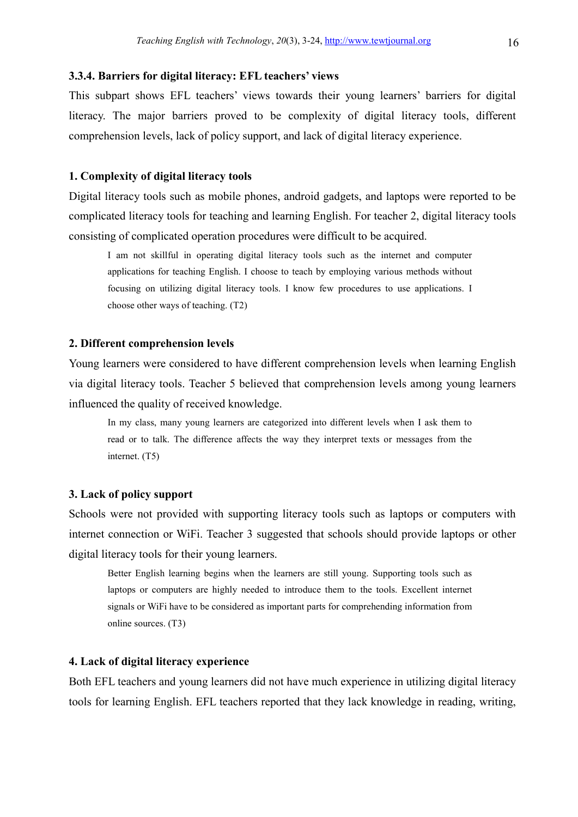#### 3.3.4. Barriers for digital literacy: EFL teachers' views

This subpart shows EFL teachers' views towards their young learners' barriers for digital literacy. The major barriers proved to be complexity of digital literacy tools, different comprehension levels, lack of policy support, and lack of digital literacy experience.

# 1. Complexity of digital literacy tools

Digital literacy tools such as mobile phones, android gadgets, and laptops were reported to be complicated literacy tools for teaching and learning English. For teacher 2, digital literacy tools consisting of complicated operation procedures were difficult to be acquired.

I am not skillful in operating digital literacy tools such as the internet and computer applications for teaching English. I choose to teach by employing various methods without focusing on utilizing digital literacy tools. I know few procedures to use applications. I choose other ways of teaching. (T2)

# 2. Different comprehension levels

Young learners were considered to have different comprehension levels when learning English via digital literacy tools. Teacher 5 believed that comprehension levels among young learners influenced the quality of received knowledge.

In my class, many young learners are categorized into different levels when I ask them to read or to talk. The difference affects the way they interpret texts or messages from the internet. (T5)

# 3. Lack of policy support

Schools were not provided with supporting literacy tools such as laptops or computers with internet connection or WiFi. Teacher 3 suggested that schools should provide laptops or other digital literacy tools for their young learners.

Better English learning begins when the learners are still young. Supporting tools such as laptops or computers are highly needed to introduce them to the tools. Excellent internet signals or WiFi have to be considered as important parts for comprehending information from online sources. (T3)

#### 4. Lack of digital literacy experience

Both EFL teachers and young learners did not have much experience in utilizing digital literacy tools for learning English. EFL teachers reported that they lack knowledge in reading, writing,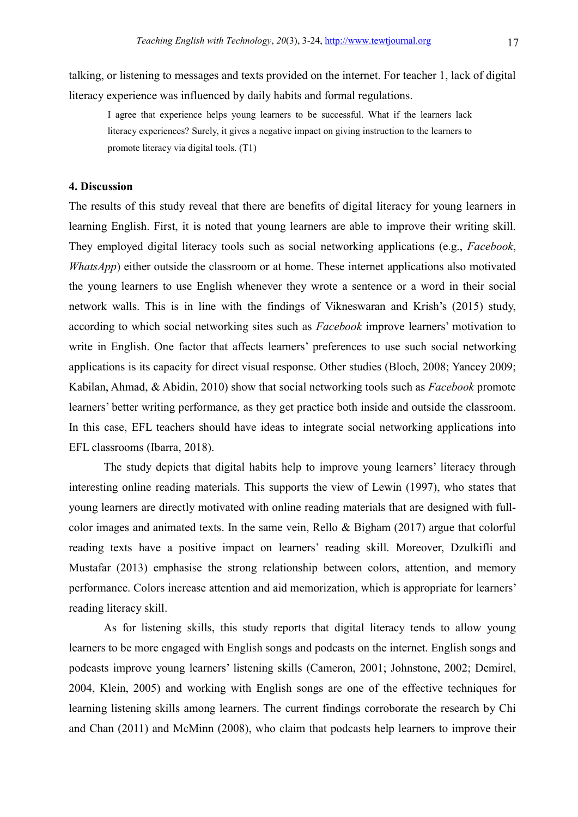talking, or listening to messages and texts provided on the internet. For teacher 1, lack of digital literacy experience was influenced by daily habits and formal regulations.

I agree that experience helps young learners to be successful. What if the learners lack literacy experiences? Surely, it gives a negative impact on giving instruction to the learners to promote literacy via digital tools. (T1)

# 4. Discussion

The results of this study reveal that there are benefits of digital literacy for young learners in learning English. First, it is noted that young learners are able to improve their writing skill. They employed digital literacy tools such as social networking applications (e.g., Facebook, WhatsApp) either outside the classroom or at home. These internet applications also motivated the young learners to use English whenever they wrote a sentence or a word in their social network walls. This is in line with the findings of Vikneswaran and Krish's (2015) study, according to which social networking sites such as Facebook improve learners' motivation to write in English. One factor that affects learners' preferences to use such social networking applications is its capacity for direct visual response. Other studies (Bloch, 2008; Yancey 2009; Kabilan, Ahmad, & Abidin, 2010) show that social networking tools such as Facebook promote learners' better writing performance, as they get practice both inside and outside the classroom. In this case, EFL teachers should have ideas to integrate social networking applications into EFL classrooms (Ibarra, 2018).

 The study depicts that digital habits help to improve young learners' literacy through interesting online reading materials. This supports the view of Lewin (1997), who states that young learners are directly motivated with online reading materials that are designed with fullcolor images and animated texts. In the same vein, Rello & Bigham (2017) argue that colorful reading texts have a positive impact on learners' reading skill. Moreover, Dzulkifli and Mustafar (2013) emphasise the strong relationship between colors, attention, and memory performance. Colors increase attention and aid memorization, which is appropriate for learners' reading literacy skill.

 As for listening skills, this study reports that digital literacy tends to allow young learners to be more engaged with English songs and podcasts on the internet. English songs and podcasts improve young learners' listening skills (Cameron, 2001; Johnstone, 2002; Demirel, 2004, Klein, 2005) and working with English songs are one of the effective techniques for learning listening skills among learners. The current findings corroborate the research by Chi and Chan (2011) and McMinn (2008), who claim that podcasts help learners to improve their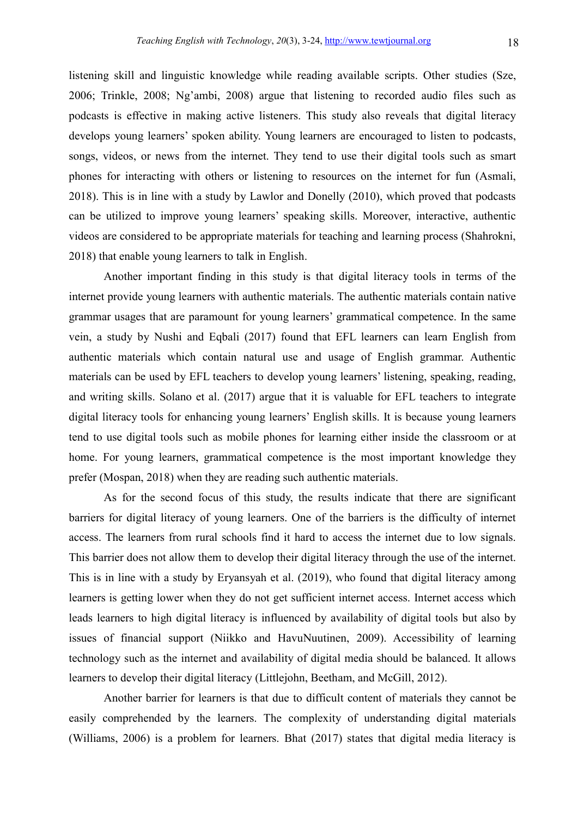listening skill and linguistic knowledge while reading available scripts. Other studies (Sze, 2006; Trinkle, 2008; Ng'ambi, 2008) argue that listening to recorded audio files such as podcasts is effective in making active listeners. This study also reveals that digital literacy develops young learners' spoken ability. Young learners are encouraged to listen to podcasts, songs, videos, or news from the internet. They tend to use their digital tools such as smart phones for interacting with others or listening to resources on the internet for fun (Asmali, 2018). This is in line with a study by Lawlor and Donelly (2010), which proved that podcasts can be utilized to improve young learners' speaking skills. Moreover, interactive, authentic videos are considered to be appropriate materials for teaching and learning process (Shahrokni, 2018) that enable young learners to talk in English.

 Another important finding in this study is that digital literacy tools in terms of the internet provide young learners with authentic materials. The authentic materials contain native grammar usages that are paramount for young learners' grammatical competence. In the same vein, a study by Nushi and Eqbali (2017) found that EFL learners can learn English from authentic materials which contain natural use and usage of English grammar. Authentic materials can be used by EFL teachers to develop young learners' listening, speaking, reading, and writing skills. Solano et al. (2017) argue that it is valuable for EFL teachers to integrate digital literacy tools for enhancing young learners' English skills. It is because young learners tend to use digital tools such as mobile phones for learning either inside the classroom or at home. For young learners, grammatical competence is the most important knowledge they prefer (Mospan, 2018) when they are reading such authentic materials.

 As for the second focus of this study, the results indicate that there are significant barriers for digital literacy of young learners. One of the barriers is the difficulty of internet access. The learners from rural schools find it hard to access the internet due to low signals. This barrier does not allow them to develop their digital literacy through the use of the internet. This is in line with a study by Eryansyah et al. (2019), who found that digital literacy among learners is getting lower when they do not get sufficient internet access. Internet access which leads learners to high digital literacy is influenced by availability of digital tools but also by issues of financial support (Niikko and HavuNuutinen, 2009). Accessibility of learning technology such as the internet and availability of digital media should be balanced. It allows learners to develop their digital literacy (Littlejohn, Beetham, and McGill, 2012).

 Another barrier for learners is that due to difficult content of materials they cannot be easily comprehended by the learners. The complexity of understanding digital materials (Williams, 2006) is a problem for learners. Bhat (2017) states that digital media literacy is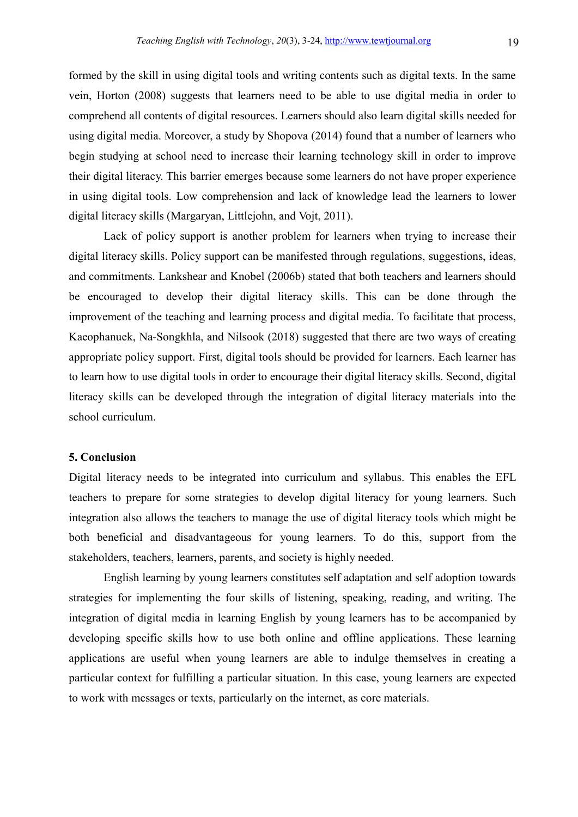formed by the skill in using digital tools and writing contents such as digital texts. In the same vein, Horton (2008) suggests that learners need to be able to use digital media in order to comprehend all contents of digital resources. Learners should also learn digital skills needed for using digital media. Moreover, a study by Shopova (2014) found that a number of learners who begin studying at school need to increase their learning technology skill in order to improve their digital literacy. This barrier emerges because some learners do not have proper experience in using digital tools. Low comprehension and lack of knowledge lead the learners to lower digital literacy skills (Margaryan, Littlejohn, and Vojt, 2011).

 Lack of policy support is another problem for learners when trying to increase their digital literacy skills. Policy support can be manifested through regulations, suggestions, ideas, and commitments. Lankshear and Knobel (2006b) stated that both teachers and learners should be encouraged to develop their digital literacy skills. This can be done through the improvement of the teaching and learning process and digital media. To facilitate that process, Kaeophanuek, Na-Songkhla, and Nilsook (2018) suggested that there are two ways of creating appropriate policy support. First, digital tools should be provided for learners. Each learner has to learn how to use digital tools in order to encourage their digital literacy skills. Second, digital literacy skills can be developed through the integration of digital literacy materials into the school curriculum.

# 5. Conclusion

Digital literacy needs to be integrated into curriculum and syllabus. This enables the EFL teachers to prepare for some strategies to develop digital literacy for young learners. Such integration also allows the teachers to manage the use of digital literacy tools which might be both beneficial and disadvantageous for young learners. To do this, support from the stakeholders, teachers, learners, parents, and society is highly needed.

 English learning by young learners constitutes self adaptation and self adoption towards strategies for implementing the four skills of listening, speaking, reading, and writing. The integration of digital media in learning English by young learners has to be accompanied by developing specific skills how to use both online and offline applications. These learning applications are useful when young learners are able to indulge themselves in creating a particular context for fulfilling a particular situation. In this case, young learners are expected to work with messages or texts, particularly on the internet, as core materials.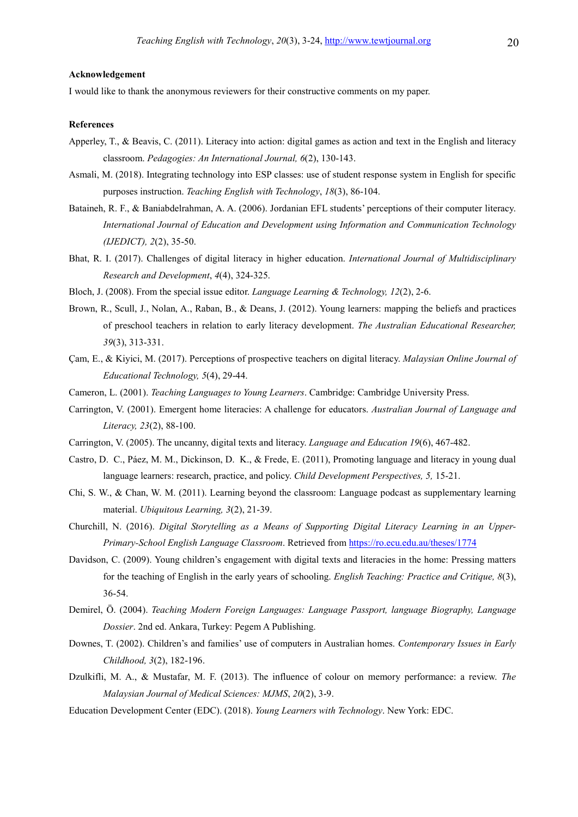#### Acknowledgement

I would like to thank the anonymous reviewers for their constructive comments on my paper.

#### References

- Apperley, T., & Beavis, C. (2011). Literacy into action: digital games as action and text in the English and literacy classroom. Pedagogies: An International Journal, 6(2), 130-143.
- Asmali, M. (2018). Integrating technology into ESP classes: use of student response system in English for specific purposes instruction. Teaching English with Technology, 18(3), 86-104.
- Bataineh, R. F., & Baniabdelrahman, A. A. (2006). Jordanian EFL students' perceptions of their computer literacy. International Journal of Education and Development using Information and Communication Technology (IJEDICT), 2(2), 35-50.
- Bhat, R. I. (2017). Challenges of digital literacy in higher education. International Journal of Multidisciplinary Research and Development, 4(4), 324-325.
- Bloch, J. (2008). From the special issue editor. Language Learning & Technology, 12(2), 2-6.
- Brown, R., Scull, J., Nolan, A., Raban, B., & Deans, J. (2012). Young learners: mapping the beliefs and practices of preschool teachers in relation to early literacy development. The Australian Educational Researcher, 39(3), 313-331.
- Çam, E., & Kiyici, M. (2017). Perceptions of prospective teachers on digital literacy. Malaysian Online Journal of Educational Technology, 5(4), 29-44.
- Cameron, L. (2001). Teaching Languages to Young Learners. Cambridge: Cambridge University Press.
- Carrington, V. (2001). Emergent home literacies: A challenge for educators. Australian Journal of Language and Literacy, 23(2), 88-100.
- Carrington, V. (2005). The uncanny, digital texts and literacy. Language and Education 19(6), 467-482.
- Castro, D. C., Páez, M. M., Dickinson, D. K., & Frede, E. (2011), Promoting language and literacy in young dual language learners: research, practice, and policy. *Child Development Perspectives*, 5, 15-21.
- Chi, S. W., & Chan, W. M. (2011). Learning beyond the classroom: Language podcast as supplementary learning material. Ubiquitous Learning, 3(2), 21-39.
- Churchill, N. (2016). Digital Storytelling as a Means of Supporting Digital Literacy Learning in an Upper-Primary-School English Language Classroom. Retrieved from https://ro.ecu.edu.au/theses/1774
- Davidson, C. (2009). Young children's engagement with digital texts and literacies in the home: Pressing matters for the teaching of English in the early years of schooling. English Teaching: Practice and Critique, 8(3), 36-54.
- Demirel, Ö. (2004). Teaching Modern Foreign Languages: Language Passport, language Biography, Language Dossier. 2nd ed. Ankara, Turkey: Pegem A Publishing.
- Downes, T. (2002). Children's and families' use of computers in Australian homes. Contemporary Issues in Early Childhood, 3(2), 182-196.
- Dzulkifli, M. A., & Mustafar, M. F. (2013). The influence of colour on memory performance: a review. The Malaysian Journal of Medical Sciences: MJMS, 20(2), 3-9.
- Education Development Center (EDC). (2018). Young Learners with Technology. New York: EDC.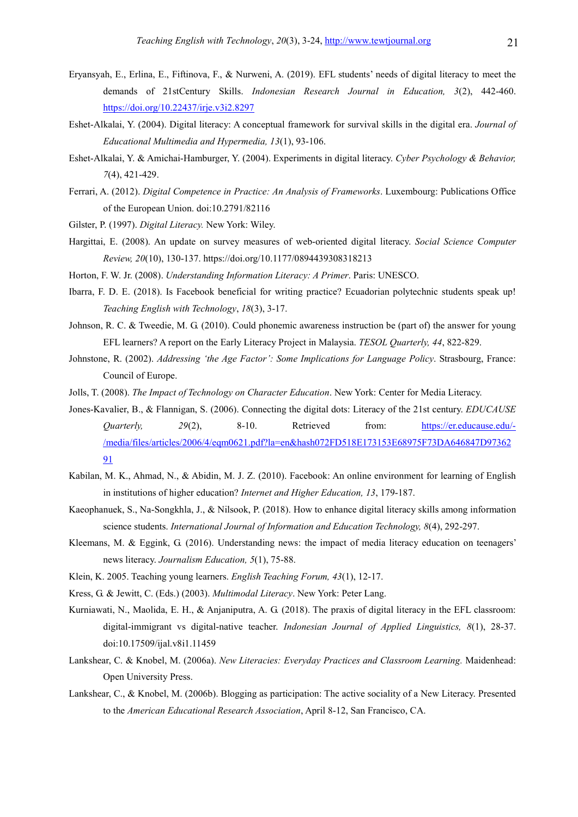- Eryansyah, E., Erlina, E., Fiftinova, F., & Nurweni, A. (2019). EFL students' needs of digital literacy to meet the demands of 21stCentury Skills. Indonesian Research Journal in Education, 3(2), 442-460. https://doi.org/10.22437/irje.v3i2.8297
- Eshet-Alkalai, Y. (2004). Digital literacy: A conceptual framework for survival skills in the digital era. Journal of Educational Multimedia and Hypermedia, 13(1), 93-106.
- Eshet-Alkalai, Y. & Amichai-Hamburger, Y. (2004). Experiments in digital literacy. Cyber Psychology & Behavior, 7(4), 421-429.
- Ferrari, A. (2012). Digital Competence in Practice: An Analysis of Frameworks. Luxembourg: Publications Office of the European Union. doi:10.2791/82116
- Gilster, P. (1997). Digital Literacy. New York: Wiley.
- Hargittai, E. (2008). An update on survey measures of web-oriented digital literacy. Social Science Computer Review, 20(10), 130-137. https://doi.org/10.1177/0894439308318213
- Horton, F. W. Jr. (2008). Understanding Information Literacy: A Primer. Paris: UNESCO.
- Ibarra, F. D. E. (2018). Is Facebook beneficial for writing practice? Ecuadorian polytechnic students speak up! Teaching English with Technology, 18(3), 3-17.
- Johnson, R. C. & Tweedie, M. G. (2010). Could phonemic awareness instruction be (part of) the answer for young EFL learners? A report on the Early Literacy Project in Malaysia. TESOL Quarterly, 44, 822-829.
- Johnstone, R. (2002). Addressing 'the Age Factor': Some Implications for Language Policy. Strasbourg, France: Council of Europe.
- Jolls, T. (2008). The Impact of Technology on Character Education. New York: Center for Media Literacy.
- Jones-Kavalier, B., & Flannigan, S. (2006). Connecting the digital dots: Literacy of the 21st century. EDUCAUSE Quarterly, 29(2), 8-10. Retrieved from: https://er.educause.edu/- /media/files/articles/2006/4/eqm0621.pdf?la=en&hash072FD518E173153E68975F73DA646847D97362 91
- Kabilan, M. K., Ahmad, N., & Abidin, M. J. Z. (2010). Facebook: An online environment for learning of English in institutions of higher education? Internet and Higher Education, 13, 179-187.
- Kaeophanuek, S., Na-Songkhla, J., & Nilsook, P. (2018). How to enhance digital literacy skills among information science students. International Journal of Information and Education Technology, 8(4), 292-297.
- Kleemans, M. & Eggink, G. (2016). Understanding news: the impact of media literacy education on teenagers' news literacy. Journalism Education, 5(1), 75-88.
- Klein, K. 2005. Teaching young learners. English Teaching Forum, 43(1), 12-17.
- Kress, G. & Jewitt, C. (Eds.) (2003). Multimodal Literacy. New York: Peter Lang.
- Kurniawati, N., Maolida, E. H., & Anjaniputra, A. G. (2018). The praxis of digital literacy in the EFL classroom: digital-immigrant vs digital-native teacher. Indonesian Journal of Applied Linguistics, 8(1), 28-37. doi:10.17509/ijal.v8i1.11459
- Lankshear, C. & Knobel, M. (2006a). New Literacies: Everyday Practices and Classroom Learning. Maidenhead: Open University Press.
- Lankshear, C., & Knobel, M. (2006b). Blogging as participation: The active sociality of a New Literacy. Presented to the American Educational Research Association, April 8-12, San Francisco, CA.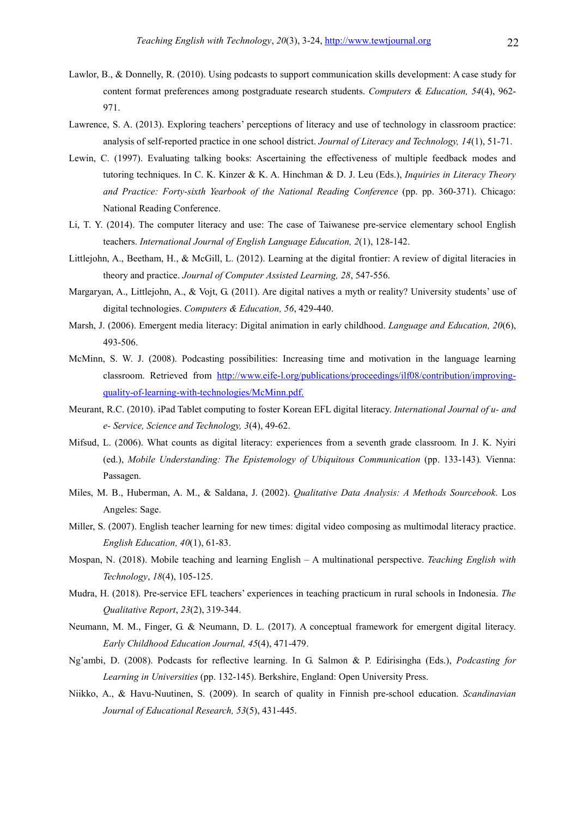- Lawlor, B., & Donnelly, R. (2010). Using podcasts to support communication skills development: A case study for content format preferences among postgraduate research students. Computers & Education, 54(4), 962-971.
- Lawrence, S. A. (2013). Exploring teachers' perceptions of literacy and use of technology in classroom practice: analysis of self-reported practice in one school district. Journal of Literacy and Technology, 14(1), 51-71.
- Lewin, C. (1997). Evaluating talking books: Ascertaining the effectiveness of multiple feedback modes and tutoring techniques. In C. K. Kinzer & K. A. Hinchman & D. J. Leu (Eds.), Inquiries in Literacy Theory and Practice: Forty-sixth Yearbook of the National Reading Conference (pp. pp. 360-371). Chicago: National Reading Conference.
- Li, T. Y. (2014). The computer literacy and use: The case of Taiwanese pre-service elementary school English teachers. International Journal of English Language Education, 2(1), 128-142.
- Littlejohn, A., Beetham, H., & McGill, L. (2012). Learning at the digital frontier: A review of digital literacies in theory and practice. Journal of Computer Assisted Learning, 28, 547-556.
- Margaryan, A., Littlejohn, A., & Vojt, G. (2011). Are digital natives a myth or reality? University students' use of digital technologies. Computers & Education, 56, 429-440.
- Marsh, J. (2006). Emergent media literacy: Digital animation in early childhood. *Language and Education*, 20(6), 493-506.
- McMinn, S. W. J. (2008). Podcasting possibilities: Increasing time and motivation in the language learning classroom. Retrieved from http://www.eife-l.org/publications/proceedings/ilf08/contribution/improvingquality-of-learning-with-technologies/McMinn.pdf.
- Meurant, R.C. (2010). iPad Tablet computing to foster Korean EFL digital literacy. International Journal of u- and e- Service, Science and Technology, 3(4), 49-62.
- Mifsud, L. (2006). What counts as digital literacy: experiences from a seventh grade classroom. In J. K. Nyiri (ed.), Mobile Understanding: The Epistemology of Ubiquitous Communication (pp. 133-143). Vienna: Passagen.
- Miles, M. B., Huberman, A. M., & Saldana, J. (2002). Qualitative Data Analysis: A Methods Sourcebook. Los Angeles: Sage.
- Miller, S. (2007). English teacher learning for new times: digital video composing as multimodal literacy practice. English Education, 40(1), 61-83.
- Mospan, N. (2018). Mobile teaching and learning English A multinational perspective. Teaching English with Technology, 18(4), 105-125.
- Mudra, H. (2018). Pre-service EFL teachers' experiences in teaching practicum in rural schools in Indonesia. The Qualitative Report, 23(2), 319-344.
- Neumann, M. M., Finger, G. & Neumann, D. L. (2017). A conceptual framework for emergent digital literacy. Early Childhood Education Journal, 45(4), 471-479.
- Ng'ambi, D. (2008). Podcasts for reflective learning. In G. Salmon & P. Edirisingha (Eds.), Podcasting for Learning in Universities (pp. 132-145). Berkshire, England: Open University Press.
- Niikko, A., & Havu-Nuutinen, S. (2009). In search of quality in Finnish pre-school education. Scandinavian Journal of Educational Research, 53(5), 431-445.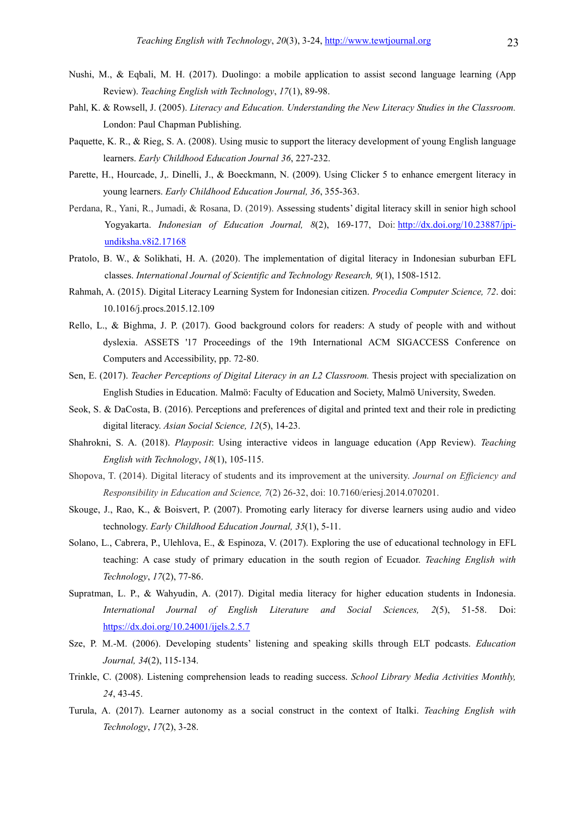- Nushi, M., & Eqbali, M. H. (2017). Duolingo: a mobile application to assist second language learning (App Review). Teaching English with Technology, 17(1), 89-98.
- Pahl, K. & Rowsell, J. (2005). Literacy and Education. Understanding the New Literacy Studies in the Classroom. London: Paul Chapman Publishing.
- Paquette, K. R., & Rieg, S. A. (2008). Using music to support the literacy development of young English language learners. Early Childhood Education Journal 36, 227-232.
- Parette, H., Hourcade, J., Dinelli, J., & Boeckmann, N. (2009). Using Clicker 5 to enhance emergent literacy in young learners. Early Childhood Education Journal, 36, 355-363.
- Perdana, R., Yani, R., Jumadi, & Rosana, D. (2019). Assessing students' digital literacy skill in senior high school Yogyakarta. Indonesian of Education Journal, 8(2), 169-177, Doi: http://dx.doi.org/10.23887/jpiundiksha.v8i2.17168
- Pratolo, B. W., & Solikhati, H. A. (2020). The implementation of digital literacy in Indonesian suburban EFL classes. International Journal of Scientific and Technology Research, 9(1), 1508-1512.
- Rahmah, A. (2015). Digital Literacy Learning System for Indonesian citizen. Procedia Computer Science, 72. doi: 10.1016/j.procs.2015.12.109
- Rello, L., & Bighma, J. P. (2017). Good background colors for readers: A study of people with and without dyslexia. ASSETS '17 Proceedings of the 19th International ACM SIGACCESS Conference on Computers and Accessibility, pp. 72-80.
- Sen, E. (2017). Teacher Perceptions of Digital Literacy in an L2 Classroom. Thesis project with specialization on English Studies in Education. Malmö: Faculty of Education and Society, Malmö University, Sweden.
- Seok, S. & DaCosta, B. (2016). Perceptions and preferences of digital and printed text and their role in predicting digital literacy. Asian Social Science, 12(5), 14-23.
- Shahrokni, S. A. (2018). Playposit: Using interactive videos in language education (App Review). Teaching English with Technology, 18(1), 105-115.
- Shopova, T. (2014). Digital literacy of students and its improvement at the university. Journal on Efficiency and Responsibility in Education and Science, 7(2) 26-32, doi: 10.7160/eriesj.2014.070201.
- Skouge, J., Rao, K., & Boisvert, P. (2007). Promoting early literacy for diverse learners using audio and video technology. Early Childhood Education Journal, 35(1), 5-11.
- Solano, L., Cabrera, P., Ulehlova, E., & Espinoza, V. (2017). Exploring the use of educational technology in EFL teaching: A case study of primary education in the south region of Ecuador. Teaching English with Technology, 17(2), 77-86.
- Supratman, L. P., & Wahyudin, A. (2017). Digital media literacy for higher education students in Indonesia. International Journal of English Literature and Social Sciences, 2(5), 51-58. Doi: https://dx.doi.org/10.24001/ijels.2.5.7
- Sze, P. M.-M. (2006). Developing students' listening and speaking skills through ELT podcasts. Education Journal, 34(2), 115-134.
- Trinkle, C. (2008). Listening comprehension leads to reading success. School Library Media Activities Monthly, 24, 43-45.
- Turula, A. (2017). Learner autonomy as a social construct in the context of Italki. Teaching English with Technology, 17(2), 3-28.